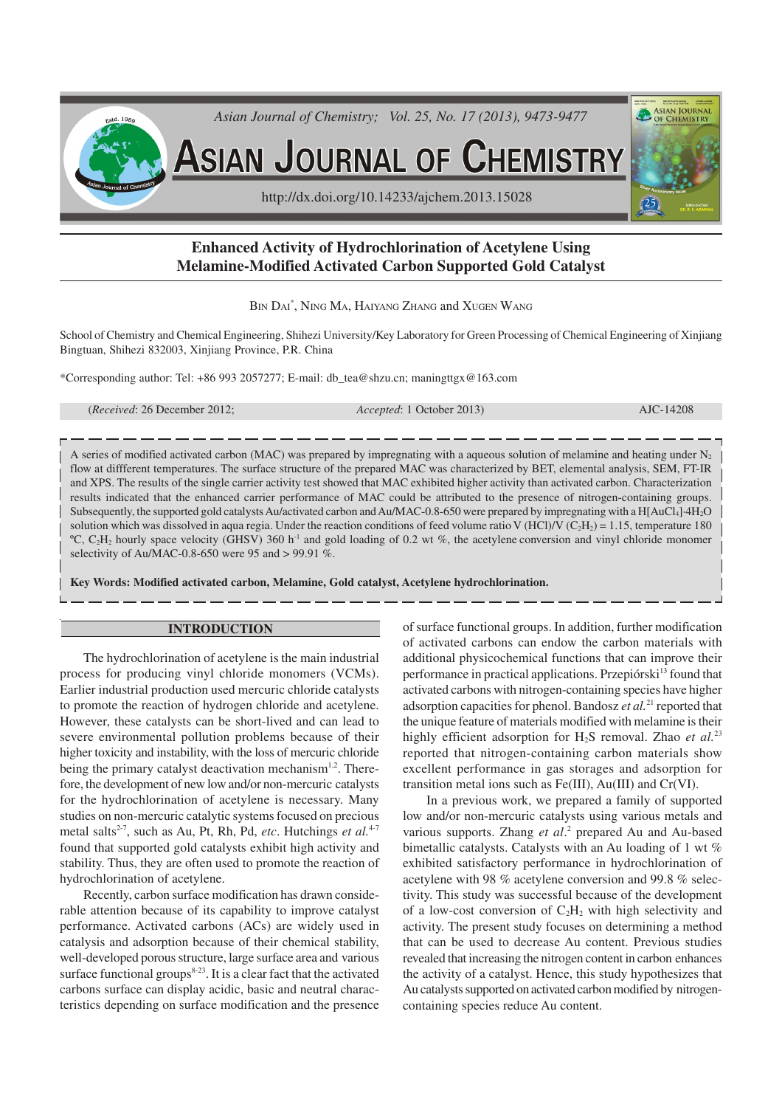

# **Enhanced Activity of Hydrochlorination of Acetylene Using Melamine-Modified Activated Carbon Supported Gold Catalyst**

BIN DAI\* , NING MA, HAIYANG ZHANG and XUGEN WANG

School of Chemistry and Chemical Engineering, Shihezi University/Key Laboratory for Green Processing of Chemical Engineering of Xinjiang Bingtuan, Shihezi 832003, Xinjiang Province, P.R. China

\*Corresponding author: Tel: +86 993 2057277; E-mail: db\_tea@shzu.cn; maningttgx@163.com

| ( <i>Received:</i> 26 December 2012; | <i>Accepted</i> : 1 October 2013) | AJC-14208 |
|--------------------------------------|-----------------------------------|-----------|
|                                      |                                   |           |

A series of modified activated carbon (MAC) was prepared by impregnating with a aqueous solution of melamine and heating under  $N_2$ flow at diffferent temperatures. The surface structure of the prepared MAC was characterized by BET, elemental analysis, SEM, FT-IR and XPS. The results of the single carrier activity test showed that MAC exhibited higher activity than activated carbon. Characterization results indicated that the enhanced carrier performance of MAC could be attributed to the presence of nitrogen-containing groups. Subsequently, the supported gold catalysts Au/activated carbon and Au/MAC-0.8-650 were prepared by impregnating with a H[AuCl4]·4H2O solution which was dissolved in aqua regia. Under the reaction conditions of feed volume ratio V (HCl)/V ( $C_2H_2$ ) = 1.15, temperature 180  $^{\circ}C$ ,  $C_2H_2$  hourly space velocity (GHSV) 360 h<sup>-1</sup> and gold loading of 0.2 wt %, the acetylene conversion and vinyl chloride monomer selectivity of Au/MAC-0.8-650 were 95 and > 99.91 %.

**Key Words: Modified activated carbon, Melamine, Gold catalyst, Acetylene hydrochlorination.**

### **INTRODUCTION**

The hydrochlorination of acetylene is the main industrial process for producing vinyl chloride monomers (VCMs). Earlier industrial production used mercuric chloride catalysts to promote the reaction of hydrogen chloride and acetylene. However, these catalysts can be short-lived and can lead to severe environmental pollution problems because of their higher toxicity and instability, with the loss of mercuric chloride being the primary catalyst deactivation mechanism<sup>1,2</sup>. Therefore, the development of new low and/or non-mercuric catalysts for the hydrochlorination of acetylene is necessary. Many studies on non-mercuric catalytic systems focused on precious metal salts<sup>2-7</sup>, such as Au, Pt, Rh, Pd, *etc*. Hutchings *et al.*<sup>4-7</sup> found that supported gold catalysts exhibit high activity and stability. Thus, they are often used to promote the reaction of hydrochlorination of acetylene.

Recently, carbon surface modification has drawn considerable attention because of its capability to improve catalyst performance. Activated carbons (ACs) are widely used in catalysis and adsorption because of their chemical stability, well-developed porous structure, large surface area and various surface functional groups $8-23$ . It is a clear fact that the activated carbons surface can display acidic, basic and neutral characteristics depending on surface modification and the presence of surface functional groups. In addition, further modification of activated carbons can endow the carbon materials with additional physicochemical functions that can improve their performance in practical applications. Przepiórski<sup>13</sup> found that activated carbons with nitrogen-containing species have higher adsorption capacities for phenol. Bandosz *et al.*<sup>21</sup> reported that the unique feature of materials modified with melamine is their highly efficient adsorption for H<sub>2</sub>S removal. Zhao *et al.*<sup>23</sup> reported that nitrogen-containing carbon materials show excellent performance in gas storages and adsorption for transition metal ions such as Fe(III), Au(III) and Cr(VI).

In a previous work, we prepared a family of supported low and/or non-mercuric catalysts using various metals and various supports. Zhang et al.<sup>2</sup> prepared Au and Au-based bimetallic catalysts. Catalysts with an Au loading of 1 wt % exhibited satisfactory performance in hydrochlorination of acetylene with 98 % acetylene conversion and 99.8 % selectivity. This study was successful because of the development of a low-cost conversion of  $C_2H_2$  with high selectivity and activity. The present study focuses on determining a method that can be used to decrease Au content. Previous studies revealed that increasing the nitrogen content in carbon enhances the activity of a catalyst. Hence, this study hypothesizes that Au catalysts supported on activated carbon modified by nitrogencontaining species reduce Au content.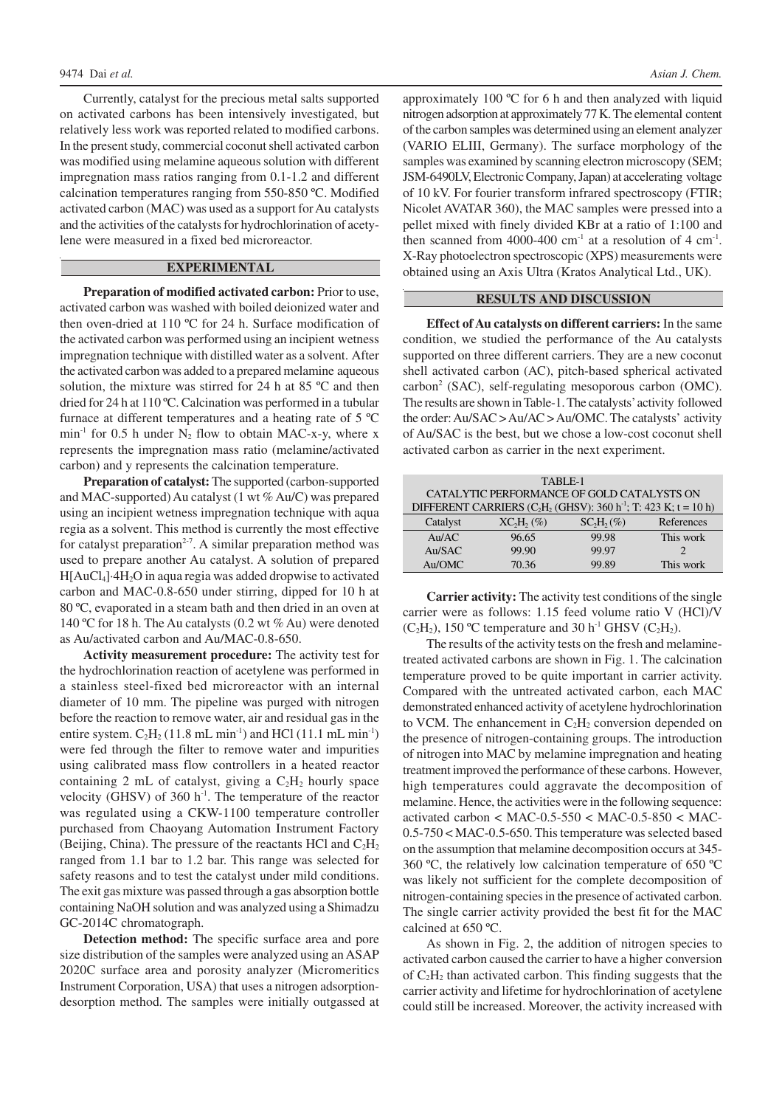Currently, catalyst for the precious metal salts supported on activated carbons has been intensively investigated, but relatively less work was reported related to modified carbons. In the present study, commercial coconut shell activated carbon was modified using melamine aqueous solution with different impregnation mass ratios ranging from 0.1-1.2 and different calcination temperatures ranging from 550-850 ºC. Modified activated carbon (MAC) was used as a support for Au catalysts and the activities of the catalysts for hydrochlorination of acetylene were measured in a fixed bed microreactor.

#### **EXPERIMENTAL**

**Preparation of modified activated carbon:**Prior to use, activated carbon was washed with boiled deionized water and then oven-dried at 110 ºC for 24 h. Surface modification of the activated carbon was performed using an incipient wetness impregnation technique with distilled water as a solvent. After the activated carbon was added to a prepared melamine aqueous solution, the mixture was stirred for 24 h at 85 °C and then dried for 24 h at 110 ºC. Calcination was performed in a tubular furnace at different temperatures and a heating rate of 5 ºC min<sup>-1</sup> for 0.5 h under  $N_2$  flow to obtain MAC-x-y, where x represents the impregnation mass ratio (melamine/activated carbon) and y represents the calcination temperature.

**Preparation of catalyst:** The supported (carbon-supported and MAC-supported) Au catalyst (1 wt % Au/C) was prepared using an incipient wetness impregnation technique with aqua regia as a solvent. This method is currently the most effective for catalyst preparation<sup>2-7</sup>. A similar preparation method was used to prepare another Au catalyst. A solution of prepared H[AuCl4]·4H2O in aqua regia was added dropwise to activated carbon and MAC-0.8-650 under stirring, dipped for 10 h at 80 ºC, evaporated in a steam bath and then dried in an oven at 140 ºC for 18 h. The Au catalysts (0.2 wt % Au) were denoted as Au/activated carbon and Au/MAC-0.8-650.

**Activity measurement procedure:** The activity test for the hydrochlorination reaction of acetylene was performed in a stainless steel-fixed bed microreactor with an internal diameter of 10 mm. The pipeline was purged with nitrogen before the reaction to remove water, air and residual gas in the entire system.  $C_2H_2$  (11.8 mL min<sup>-1</sup>) and HCl (11.1 mL min<sup>-1</sup>) were fed through the filter to remove water and impurities using calibrated mass flow controllers in a heated reactor containing 2 mL of catalyst, giving a  $C_2H_2$  hourly space velocity (GHSV) of 360  $h^{-1}$ . The temperature of the reactor was regulated using a CKW-1100 temperature controller purchased from Chaoyang Automation Instrument Factory (Beijing, China). The pressure of the reactants HCl and  $C_2H_2$ ranged from 1.1 bar to 1.2 bar. This range was selected for safety reasons and to test the catalyst under mild conditions. The exit gas mixture was passed through a gas absorption bottle containing NaOH solution and was analyzed using a Shimadzu GC-2014C chromatograph.

**Detection method:** The specific surface area and pore size distribution of the samples were analyzed using an ASAP 2020C surface area and porosity analyzer (Micromeritics Instrument Corporation, USA) that uses a nitrogen adsorptiondesorption method. The samples were initially outgassed at approximately 100 ºC for 6 h and then analyzed with liquid nitrogen adsorption at approximately 77 K. The elemental content of the carbon samples was determined using an element analyzer (VARIO ELIII, Germany). The surface morphology of the samples was examined by scanning electron microscopy (SEM; JSM-6490LV, Electronic Company, Japan) at accelerating voltage of 10 kV. For fourier transform infrared spectroscopy (FTIR; Nicolet AVATAR 360), the MAC samples were pressed into a pellet mixed with finely divided KBr at a ratio of 1:100 and then scanned from 4000-400 cm<sup>-1</sup> at a resolution of 4 cm<sup>-1</sup>. X-Ray photoelectron spectroscopic (XPS) measurements were obtained using an Axis Ultra (Kratos Analytical Ltd., UK).

### **RESULTS AND DISCUSSION**

**Effect of Au catalysts on different carriers:** In the same condition, we studied the performance of the Au catalysts supported on three different carriers. They are a new coconut shell activated carbon (AC), pitch-based spherical activated carbon<sup>2</sup> (SAC), self-regulating mesoporous carbon (OMC). The results are shown in Table-1. The catalysts' activity followed the order: Au/SAC > Au/AC > Au/OMC. The catalysts' activity of Au/SAC is the best, but we chose a low-cost coconut shell activated carbon as carrier in the next experiment.

| TABLE-1                                                             |               |             |            |  |  |  |  |  |
|---------------------------------------------------------------------|---------------|-------------|------------|--|--|--|--|--|
| CATALYTIC PERFORMANCE OF GOLD CATALYSTS ON                          |               |             |            |  |  |  |  |  |
| DIFFERENT CARRIERS $(C_2H_2(GHSV): 360 h^{-1}; T: 423 K; t = 10 h)$ |               |             |            |  |  |  |  |  |
| Catalyst                                                            | $XC_2H_2(\%)$ | $SCH_2(\%)$ | References |  |  |  |  |  |
| Au/AC                                                               | 96.65         | 99.98       | This work  |  |  |  |  |  |
| Au/SAC                                                              | 99.90         | 99.97       | 2          |  |  |  |  |  |
| Au/OMC                                                              | 70.36         | 99.89       | This work  |  |  |  |  |  |

**Carrier activity:** The activity test conditions of the single carrier were as follows: 1.15 feed volume ratio V (HCl)/V  $(C_2H_2)$ , 150 °C temperature and 30 h<sup>-1</sup> GHSV  $(C_2H_2)$ .

The results of the activity tests on the fresh and melaminetreated activated carbons are shown in Fig. 1. The calcination temperature proved to be quite important in carrier activity. Compared with the untreated activated carbon, each MAC demonstrated enhanced activity of acetylene hydrochlorination to VCM. The enhancement in  $C_2H_2$  conversion depended on the presence of nitrogen-containing groups. The introduction of nitrogen into MAC by melamine impregnation and heating treatment improved the performance of these carbons. However, high temperatures could aggravate the decomposition of melamine. Hence, the activities were in the following sequence: activated carbon < MAC-0.5-550 < MAC-0.5-850 < MAC-0.5-750 < MAC-0.5-650. This temperature was selected based on the assumption that melamine decomposition occurs at 345- 360 ºC, the relatively low calcination temperature of 650 ºC was likely not sufficient for the complete decomposition of nitrogen-containing species in the presence of activated carbon. The single carrier activity provided the best fit for the MAC calcined at 650 ºC.

As shown in Fig. 2, the addition of nitrogen species to activated carbon caused the carrier to have a higher conversion of  $C_2H_2$  than activated carbon. This finding suggests that the carrier activity and lifetime for hydrochlorination of acetylene could still be increased. Moreover, the activity increased with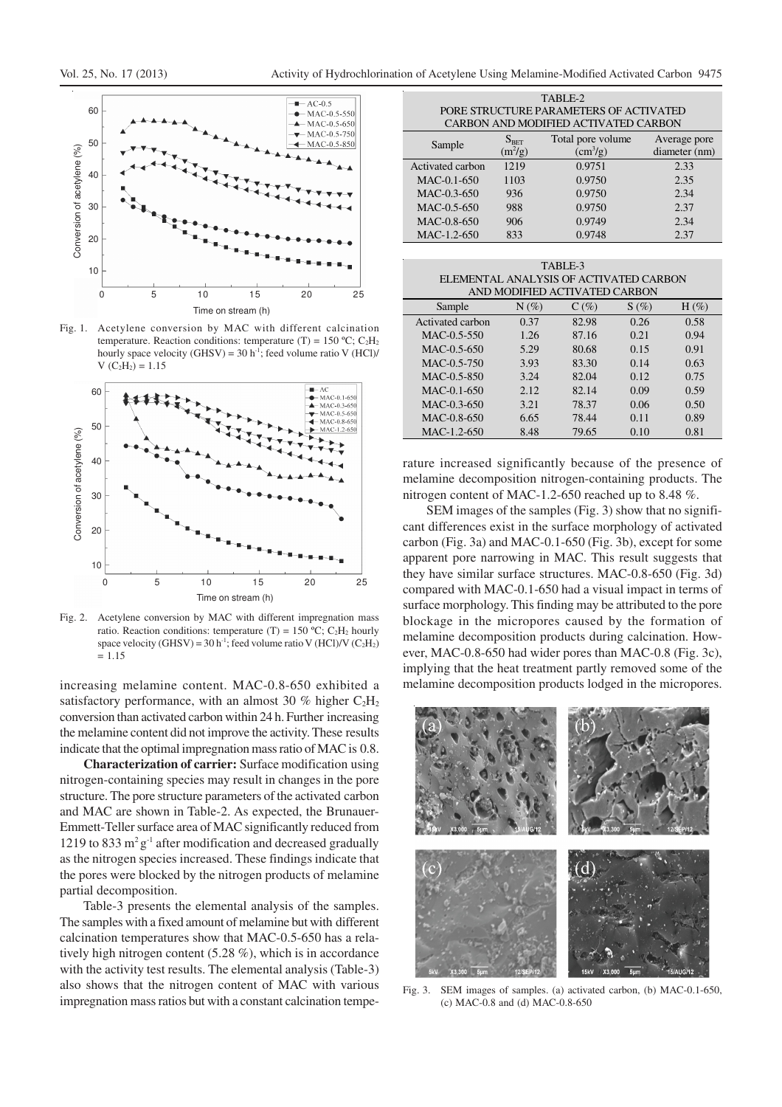

Fig. 1. Acetylene conversion by MAC with different calcination temperature. Reaction conditions: temperature (T) = 150 °C;  $C_2H_2$ hourly space velocity (GHSV) =  $30 h^{-1}$ ; feed volume ratio V (HCl)/  $V (C_2H_2) = 1.15$ 



Fig. 2. Acetylene conversion by MAC with different impregnation mass ratio. Reaction conditions: temperature (T) = 150 °C; C<sub>2</sub>H<sub>2</sub> hourly space velocity (GHSV) =  $30 h^{-1}$ ; feed volume ratio V (HCl)/V (C<sub>2</sub>H<sub>2</sub>)  $= 1.15$ 

increasing melamine content. MAC-0.8-650 exhibited a satisfactory performance, with an almost 30 % higher  $C_2H_2$ conversion than activated carbon within 24 h. Further increasing the melamine content did not improve the activity. These results indicate that the optimal impregnation mass ratio of MAC is 0.8.

**Characterization of carrier:**Surface modification using nitrogen-containing species may result in changes in the pore structure. The pore structure parameters of the activated carbon and MAC are shown in Table-2. As expected, the Brunauer-Emmett-Teller surface area of MAC significantly reduced from 1219 to 833  $m^2g^{-1}$  after modification and decreased gradually as the nitrogen species increased. These findings indicate that the pores were blocked by the nitrogen products of melamine partial decomposition.

Table-3 presents the elemental analysis of the samples. The samples with a fixed amount of melamine but with different calcination temperatures show that MAC-0.5-650 has a relatively high nitrogen content (5.28 %), which is in accordance with the activity test results. The elemental analysis (Table-3) also shows that the nitrogen content of MAC with various impregnation mass ratios but with a constant calcination tempe-

| PORE STRUCTURE PARAMETERS OF ACTIVATED<br>CARBON AND MODIFIED ACTIVATED CARBON |                            |                                     |                               |  |  |  |  |  |  |
|--------------------------------------------------------------------------------|----------------------------|-------------------------------------|-------------------------------|--|--|--|--|--|--|
| Sample                                                                         | $S_{\rm BET}$<br>$(m^2/g)$ | Total pore volume<br>$\rm (cm^3/g)$ | Average pore<br>diameter (nm) |  |  |  |  |  |  |
| Activated carbon                                                               | 1219                       | 0.9751                              | 2.33                          |  |  |  |  |  |  |
| MAC-0.1-650                                                                    | 1103                       | 0.9750                              | 2.35                          |  |  |  |  |  |  |
| MAC-0.3-650                                                                    | 936                        | 0.9750                              | 2.34                          |  |  |  |  |  |  |
| MAC-0.5-650                                                                    | 988                        | 0.9750                              | 2.37                          |  |  |  |  |  |  |
| MAC-0.8-650                                                                    | 906                        | 0.9749                              | 2.34                          |  |  |  |  |  |  |
| MAC-1.2-650                                                                    | 833                        | 0.9748                              | 2.37                          |  |  |  |  |  |  |

TABLE-2

| TABLE-3                                |         |         |         |         |  |  |  |  |
|----------------------------------------|---------|---------|---------|---------|--|--|--|--|
| ELEMENTAL ANALYSIS OF ACTIVATED CARBON |         |         |         |         |  |  |  |  |
| AND MODIFIED ACTIVATED CARBON          |         |         |         |         |  |  |  |  |
| Sample                                 | $N(\%)$ | $C(\%)$ | $S(\%)$ | $H(\%)$ |  |  |  |  |
| Activated carbon                       | 0.37    | 82.98   | 0.26    | 0.58    |  |  |  |  |
| $MAC-0.5-550$                          | 1.26    | 87.16   | 0.21    | 0.94    |  |  |  |  |
| $MAC-0.5-650$                          | 5.29    | 80.68   | 0.15    | 0.91    |  |  |  |  |
| $MAC-0.5-750$                          | 3.93    | 83.30   | 0.14    | 0.63    |  |  |  |  |
| MAC-0.5-850                            | 3.24    | 82.04   | 0.12    | 0.75    |  |  |  |  |
| $MAC-0.1-650$                          | 2.12    | 82.14   | 0.09    | 0.59    |  |  |  |  |
| $MAC-0.3-650$                          | 3.21    | 78.37   | 0.06    | 0.50    |  |  |  |  |
| MAC-0.8-650                            | 6.65    | 78.44   | 0.11    | 0.89    |  |  |  |  |
| $MAC-1.2-650$                          | 8.48    | 79.65   | 0.10    | 0.81    |  |  |  |  |

rature increased significantly because of the presence of melamine decomposition nitrogen-containing products. The nitrogen content of MAC-1.2-650 reached up to 8.48 %.

SEM images of the samples (Fig. 3) show that no significant differences exist in the surface morphology of activated carbon (Fig. 3a) and MAC-0.1-650 (Fig. 3b), except for some apparent pore narrowing in MAC. This result suggests that they have similar surface structures. MAC-0.8-650 (Fig. 3d) compared with MAC-0.1-650 had a visual impact in terms of surface morphology. This finding may be attributed to the pore blockage in the micropores caused by the formation of melamine decomposition products during calcination. However, MAC-0.8-650 had wider pores than MAC-0.8 (Fig. 3c), implying that the heat treatment partly removed some of the melamine decomposition products lodged in the micropores.



Fig. 3. SEM images of samples. (a) activated carbon, (b) MAC-0.1-650, (c) MAC-0.8 and (d) MAC-0.8-650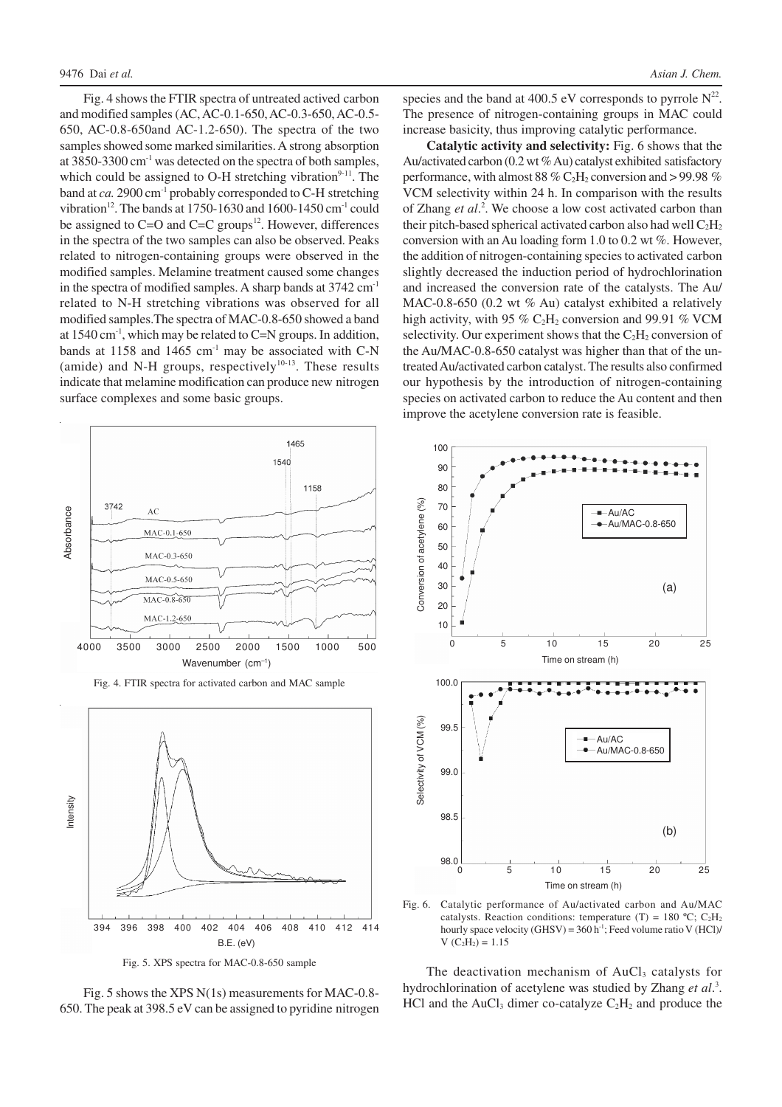Fig. 4 shows the FTIR spectra of untreated actived carbon and modified samples (AC, AC-0.1-650, AC-0.3-650, AC-0.5- 650, AC-0.8-650and AC-1.2-650). The spectra of the two samples showed some marked similarities. A strong absorption at  $3850-3300$  cm<sup>-1</sup> was detected on the spectra of both samples, which could be assigned to O-H stretching vibration $9-11$ . The band at *ca*. 2900 cm<sup>-1</sup> probably corresponded to C-H stretching vibration<sup>12</sup>. The bands at 1750-1630 and 1600-1450 cm<sup>-1</sup> could be assigned to  $C=O$  and  $C=C$  groups<sup>12</sup>. However, differences in the spectra of the two samples can also be observed. Peaks related to nitrogen-containing groups were observed in the modified samples. Melamine treatment caused some changes in the spectra of modified samples. A sharp bands at 3742 cm<sup>-1</sup> related to N-H stretching vibrations was observed for all modified samples.The spectra of MAC-0.8-650 showed a band at 1540 cm<sup>-1</sup>, which may be related to C=N groups. In addition, bands at 1158 and 1465  $cm<sup>-1</sup>$  may be associated with C-N (amide) and N-H groups, respectively $10-13$ . These results indicate that melamine modification can produce new nitrogen surface complexes and some basic groups.



394 396 398 400 402 404 406 408 410 412 414 B.E. (eV)





species and the band at 400.5 eV corresponds to pyrrole  $N^{22}$ . The presence of nitrogen-containing groups in MAC could increase basicity, thus improving catalytic performance.

**Catalytic activity and selectivity:** Fig. 6 shows that the Au/activated carbon (0.2 wt % Au) catalyst exhibited satisfactory performance, with almost 88 %  $C_2H_2$  conversion and > 99.98 % VCM selectivity within 24 h. In comparison with the results of Zhang et al.<sup>2</sup>. We choose a low cost activated carbon than their pitch-based spherical activated carbon also had well  $C_2H_2$ conversion with an Au loading form 1.0 to 0.2 wt %. However, the addition of nitrogen-containing species to activated carbon slightly decreased the induction period of hydrochlorination and increased the conversion rate of the catalysts. The Au/ MAC-0.8-650 (0.2 wt % Au) catalyst exhibited a relatively high activity, with 95 %  $C_2H_2$  conversion and 99.91 % VCM selectivity. Our experiment shows that the  $C_2H_2$  conversion of the Au/MAC-0.8-650 catalyst was higher than that of the untreated Au/activated carbon catalyst. The results also confirmed our hypothesis by the introduction of nitrogen-containing species on activated carbon to reduce the Au content and then improve the acetylene conversion rate is feasible.



Fig. 6. Catalytic performance of Au/activated carbon and Au/MAC catalysts. Reaction conditions: temperature (T) = 180 °C;  $C_2H_2$ hourly space velocity  $(GHSV) = 360 h^{-1}$ ; Feed volume ratio V  $(HCl)$  $V (C_2H_2) = 1.15$ 

The deactivation mechanism of AuCl<sub>3</sub> catalysts for hydrochlorination of acetylene was studied by Zhang et al.<sup>3</sup>. HCl and the AuCl<sub>3</sub> dimer co-catalyze  $C_2H_2$  and produce the